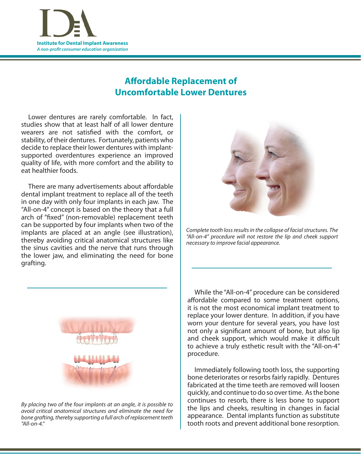**Institute for Dental Implant Awareness A non-profit consumer education organization** 

## **Affordable Replacement of Uncomfortable Lower Dentures**

 Lower dentures are rarely comfortable. In fact, studies show that at least half of all lower denture wearers are not satisfied with the comfort, or stability, of their dentures. Fortunately, patients who decide to replace their lower dentures with implantsupported overdentures experience an improved quality of life, with more comfort and the ability to eat healthier foods.

There are many advertisements about affordable dental implant treatment to replace all of the teeth in one day with only four implants in each jaw. The "All-on-4" concept is based on the theory that a full arch of "fixed" (non-removable) replacement teeth can be supported by four implants when two of the implants are placed at an angle (see illustration), thereby avoiding critical anatomical structures like the sinus cavities and the nerve that runs through the lower jaw, and eliminating the need for bone grafting.



Complete tooth loss results in the collapse of facial structures. The "All-on-4" procedure will not restore the lip and cheek support necessary to improve facial appearance.



By placing two of the four implants at an angle, it is possible to avoid critical anatomical structures and eliminate the need for bone grafting, thereby supporting a full arch of replacement teeth "All-on-4."

 While the "All-on-4" procedure can be considered affordable compared to some treatment options, it is not the most economical implant treatment to replace your lower denture. In addition, if you have worn your denture for several years, you have lost not only a significant amount of bone, but also lip and cheek support, which would make it difficult to achieve a truly esthetic result with the "All-on-4" procedure.

 Immediately following tooth loss, the supporting bone deteriorates or resorbs fairly rapidly. Dentures fabricated at the time teeth are removed will loosen quickly, and continue to do so overtime. Asthe bone continues to resorb, there is less bone to support the lips and cheeks, resulting in changes in facial appearance. Dental implants function as substitute tooth roots and prevent additional bone resorption.